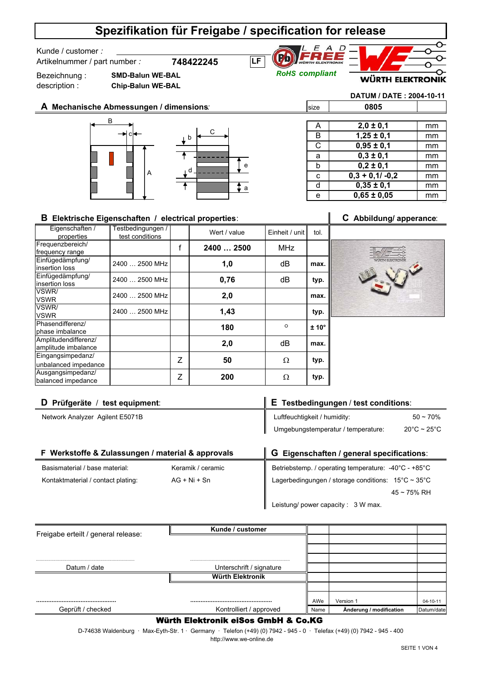Kunde / customer *:* 

Artikelnummer / part number *:* **748422245**





Bezeichnung : description :

**SMD-Balun WE-BAL Chip-Balun WE-BAL**

e

a

**DATUM / DATE : 2004-10-11**

size **0805**

 **A Mechanische Abmessungen / dimensions***:* B A  $c \leftarrow$  c  $c \leftarrow$ b d

| A | $2,0 \pm 0,1$     | mm |
|---|-------------------|----|
| B | $1,25 \pm 0,1$    | mm |
| C | $0,95 \pm 0,1$    | mm |
| a | $0,3 \pm 0,1$     | mm |
| b | $0,2 \pm 0,1$     | mm |
| C | $0,3 + 0,1/ -0,2$ | mm |
| d | $0,35 \pm 0,1$    | mm |
| е | $0,65 \pm 0,05$   | mm |

## **B Elektrische Eigenschaften / electrical properties**: **C Abbildung/ apperance**:

Eigenschaften / properties test conditions wert / value Einheit / unit tol. Frequenzbereich/ frequency range Einfügedämpfung/ insertion loss Einfügedämpfung/ insertion loss VSWR/ VSWR VSWR/ VSWR Phasendifferenz/ phase imbalance Amplitudendifferenz/ amplitude imbalance Eingangsimpedanz/ unbalanced impedance Ausgangsimpedanz/ balanced impedance **2** Δ **200** Ω **2,0** Z **50** Ω **typ. max.** 2400 … 2500 MHz f **2400 … 2500 1,0** MHz **max.** Testbedingungen / **180 ± 10°** dB **2,0 max. typ. typ.**  $2400... 2500$  MHz  $\begin{array}{|c|c|c|c|c|} \hline \end{array}$  0.76  $\begin{array}{|c|c|c|c|c|} \hline \end{array}$  dB 2400 … 2500 MHz  $\circ$ **typ.** dB **0,76 1,43** 2400 … 2500 MHz



| D Prüfgeräte / test equipment:                    |                   | E Testbedingungen / test conditions:                                    |                                  |
|---------------------------------------------------|-------------------|-------------------------------------------------------------------------|----------------------------------|
| Network Analyzer Agilent E5071B                   |                   | Luftfeuchtigkeit / humidity:                                            | $50 - 70%$                       |
|                                                   |                   | Umgebungstemperatur / temperature:                                      | $20^{\circ}$ C ~ 25 $^{\circ}$ C |
|                                                   |                   |                                                                         |                                  |
| F Werkstoffe & Zulassungen / material & approvals |                   | G Eigenschaften / general specifications:                               |                                  |
| Basismaterial / base material:                    | Keramik / ceramic | Betriebstemp. / operating temperature: -40°C - +85°C                    |                                  |
| Kontaktmaterial / contact plating:                | $AG + Ni + Sn$    | Lagerbedingungen / storage conditions: $15^{\circ}$ C ~ 35 $^{\circ}$ C |                                  |

45 ~ 75% RH

Leistung/ power capacity : 3 W max.

| Freigabe erteilt / general release: | Kunde / customer                |      |                         |                |
|-------------------------------------|---------------------------------|------|-------------------------|----------------|
|                                     |                                 |      |                         |                |
|                                     |                                 |      |                         |                |
|                                     |                                 |      |                         |                |
| Datum / date                        | Unterschrift / signature        |      |                         |                |
|                                     | Würth Elektronik                |      |                         |                |
|                                     |                                 |      |                         |                |
|                                     |                                 | AWe  | Version 1               | $04 - 10 - 11$ |
| Geprüft / checked                   | Kontrolliert / approved         | Name | Änderung / modification | Datum/date     |
|                                     | WAJL ELLAGARE ARAA AMLU O AA KA |      |                         |                |

### Würth Elektronik eiSos GmbH & Co.KG

 http://www.we-online.de D-74638 Waldenburg · Max-Eyth-Str. 1 · Germany · Telefon (+49) (0) 7942 - 945 - 0 · Telefax (+49) (0) 7942 - 945 - 400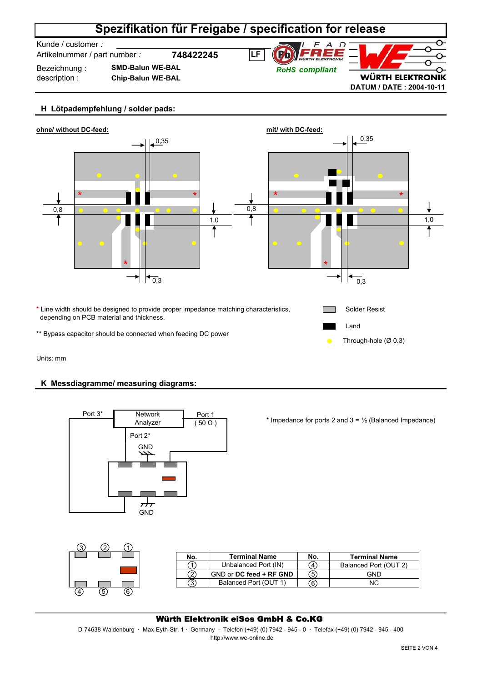Kunde / customer *:* 

Artikelnummer / part number *:* **748422245**



Bezeichnung : description :

**Chip-Balun WE-BAL SMD-Balun WE-BAL**



## **H Lötpadempfehlung / solder pads:**



Units: mm

## **K Messdiagramme/ measuring diagrams:**



\* Impedance for ports 2 and  $3 = \frac{1}{2}$  (Balanced Impedance)

**No. Terminal Name No. Terminal Name**

Balanced Port (OUT 2) GND N<sub>C</sub>

|  |  | No. | <b>Terminal Name</b>    | N   |
|--|--|-----|-------------------------|-----|
|  |  |     | Unbalanced Port (IN)    |     |
|  |  |     | GND or DC feed + RF GND | 5   |
|  |  |     | Balanced Port (OUT 1)   | ้คิ |
|  |  |     |                         |     |

## Würth Elektronik eiSos GmbH & Co.KG

D-74638 Waldenburg · Max-Eyth-Str. 1 · Germany · Telefon (+49) (0) 7942 - 945 - 0 · Telefax (+49) (0) 7942 - 945 - 400 http://www.we-online.de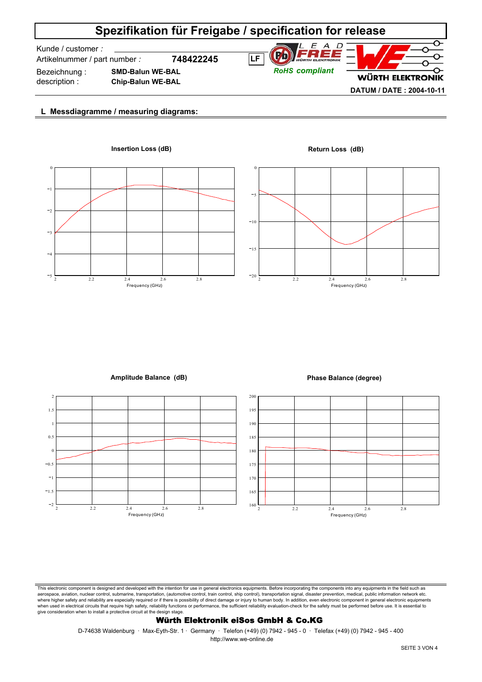Kunde / customer *:* 

Artikelnummer / part number *:* **748422245**

Bezeichnung : description :

**SMD-Balun WE-BAL Chip-Balun WE-BAL**



## **WÜRTH ELEKTRONIK DATUM / DATE : 2004-10-11**

O

## **L Messdiagramme / measuring diagrams:**





### **Amplitude Balance (dB) Phase Balance (degree)**





This electronic component is designed and developed with the intention for use in general electronics equipments. Before incorporating the components into any equipments in the field such as aerospace, aviation, nuclear control, submarine, transportation, (automotive control, train control, ship control), transportation signal, disaster prevention, medical, public information network etc. where higher safety and reliability are especially required or if there is possibility of direct damage or injury to human body. In addition, even electronic component in general electronic equipments when used in electrical circuits that require high safety, reliability functions or performance, the sufficient reliability evaluation-check for the safety must be performed before use. It is essential to give consideration when to install a protective circuit at the design stage.

### Würth Elektronik eiSos GmbH & Co.KG

D-74638 Waldenburg · Max-Eyth-Str. 1 · Germany · Telefon (+49) (0) 7942 - 945 - 0 · Telefax (+49) (0) 7942 - 945 - 400 http://www.we-online.de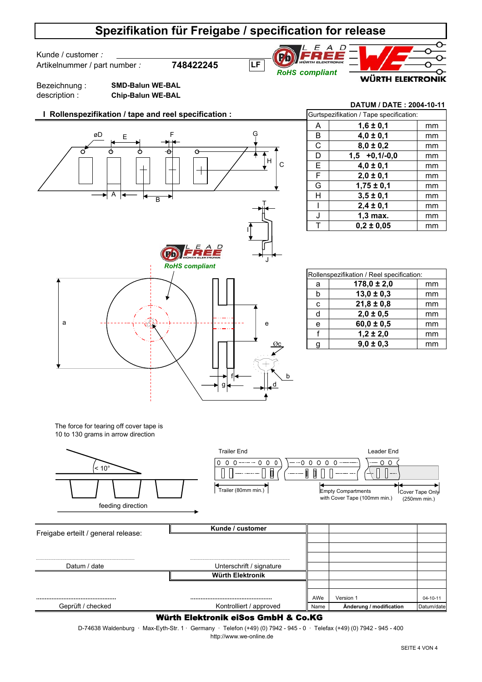**LF**

Kunde / customer *:* 

Artikelnummer / part number *:* **748422245**





**DATUM / DATE : 2004-10-11**

Bezeichnung : description :

**SMD-Balun WE-BAL Chip-Balun WE-BAL**

## **I Rollenspezifikation / tape and reel specification :**



| Gurtspezifikation / Tape specification: |                 |    |  |
|-----------------------------------------|-----------------|----|--|
| A                                       | $1,6 \pm 0,1$   | mm |  |
| B                                       | $4,0 \pm 0,1$   | mm |  |
| C                                       | $8,0 \pm 0,2$   | mm |  |
| D                                       | $1,5 +0,1/-0,0$ | mm |  |
| Е                                       | $4,0 \pm 0,1$   | mm |  |
| F                                       | $2,0 \pm 0,1$   | mm |  |
| G                                       | $1,75 \pm 0,1$  | mm |  |
| н                                       | $3,5 \pm 0,1$   | mm |  |
|                                         | $2,4 \pm 0,1$   | mm |  |
| J                                       | $1,3$ max.      | mm |  |
| т                                       | $0.2 \pm 0.05$  | mm |  |

| Rollenspezifikation / Reel specification: |                 |    |
|-------------------------------------------|-----------------|----|
| a                                         | $178,0 \pm 2,0$ | mm |
| b                                         | $13,0 \pm 0,3$  | mm |
| C                                         | $21,8 \pm 0,8$  | mm |
| d                                         | $2,0 \pm 0,5$   | mm |
| e                                         | $60,0 \pm 0,5$  | mm |
|                                           | $1,2 \pm 2,0$   | mm |
| q                                         | $9,0 \pm 0,3$   | mm |

The force for tearing off cover tape is 10 to 130 grams in arrow direction



### Würth Elektronik eiSos GmbH & Co.KG

D-74638 Waldenburg · Max-Eyth-Str. 1 · Germany · Telefon (+49) (0) 7942 - 945 - 0 · Telefax (+49) (0) 7942 - 945 - 400 http://www.we-online.de